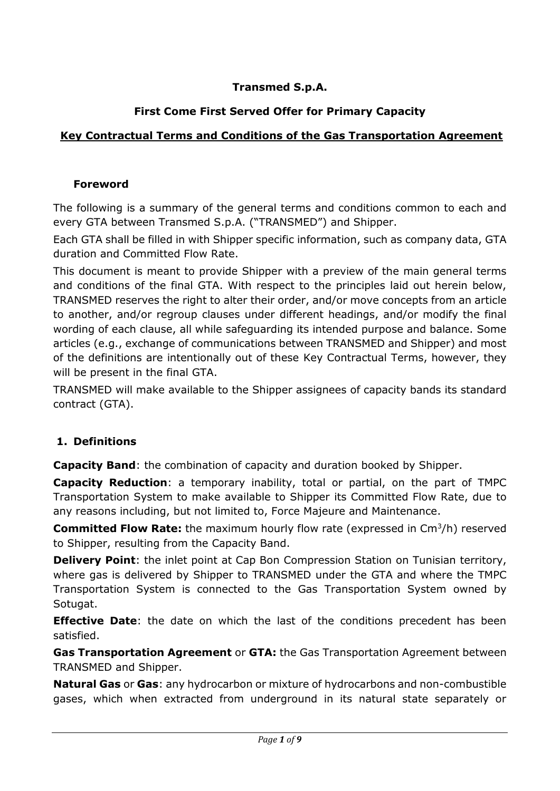### **Transmed S.p.A.**

## **First Come First Served Offer for Primary Capacity**

## **Key Contractual Terms and Conditions of the Gas Transportation Agreement**

#### **Foreword**

The following is a summary of the general terms and conditions common to each and every GTA between Transmed S.p.A. ("TRANSMED") and Shipper.

Each GTA shall be filled in with Shipper specific information, such as company data, GTA duration and Committed Flow Rate.

This document is meant to provide Shipper with a preview of the main general terms and conditions of the final GTA. With respect to the principles laid out herein below, TRANSMED reserves the right to alter their order, and/or move concepts from an article to another, and/or regroup clauses under different headings, and/or modify the final wording of each clause, all while safeguarding its intended purpose and balance. Some articles (e.g., exchange of communications between TRANSMED and Shipper) and most of the definitions are intentionally out of these Key Contractual Terms, however, they will be present in the final GTA.

TRANSMED will make available to the Shipper assignees of capacity bands its standard contract (GTA).

#### **1. Definitions**

**Capacity Band**: the combination of capacity and duration booked by Shipper.

**Capacity Reduction**: a temporary inability, total or partial, on the part of TMPC Transportation System to make available to Shipper its Committed Flow Rate, due to any reasons including, but not limited to, Force Majeure and Maintenance.

**Committed Flow Rate:** the maximum hourly flow rate (expressed in Cm<sup>3</sup>/h) reserved to Shipper, resulting from the Capacity Band.

**Delivery Point:** the inlet point at Cap Bon Compression Station on Tunisian territory, where gas is delivered by Shipper to TRANSMED under the GTA and where the TMPC Transportation System is connected to the Gas Transportation System owned by Sotugat.

**Effective Date:** the date on which the last of the conditions precedent has been satisfied.

**Gas Transportation Agreement** or **GTA:** the Gas Transportation Agreement between TRANSMED and Shipper.

**Natural Gas** or **Gas**: any hydrocarbon or mixture of hydrocarbons and non-combustible gases, which when extracted from underground in its natural state separately or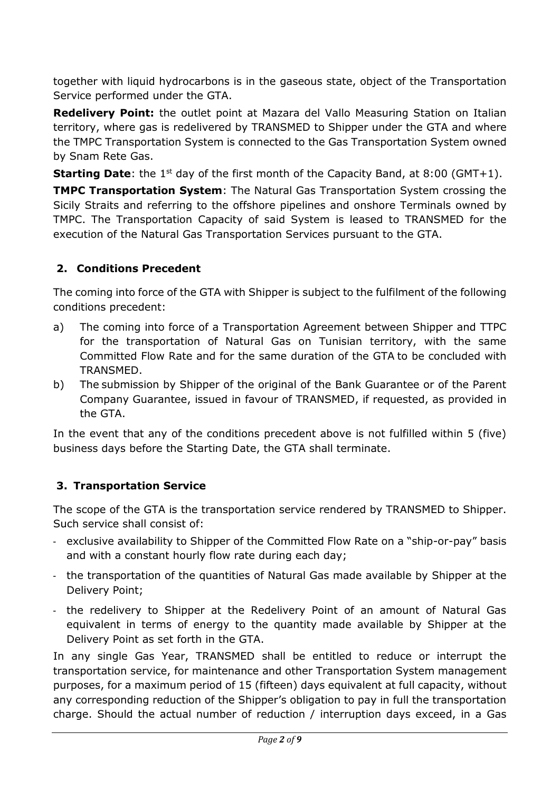together with liquid hydrocarbons is in the gaseous state, object of the Transportation Service performed under the GTA.

**Redelivery Point:** the outlet point at Mazara del Vallo Measuring Station on Italian territory, where gas is redelivered by TRANSMED to Shipper under the GTA and where the TMPC Transportation System is connected to the Gas Transportation System owned by Snam Rete Gas.

**Starting Date**: the 1<sup>st</sup> day of the first month of the Capacity Band, at 8:00 (GMT+1).

**TMPC Transportation System**: The Natural Gas Transportation System crossing the Sicily Straits and referring to the offshore pipelines and onshore Terminals owned by TMPC. The Transportation Capacity of said System is leased to TRANSMED for the execution of the Natural Gas Transportation Services pursuant to the GTA.

## **2. Conditions Precedent**

The coming into force of the GTA with Shipper is subject to the fulfilment of the following conditions precedent:

- a) The coming into force of a Transportation Agreement between Shipper and TTPC for the transportation of Natural Gas on Tunisian territory, with the same Committed Flow Rate and for the same duration of the GTA to be concluded with TRANSMED.
- b) The submission by Shipper of the original of the Bank Guarantee or of the Parent Company Guarantee, issued in favour of TRANSMED, if requested, as provided in the GTA.

In the event that any of the conditions precedent above is not fulfilled within 5 (five) business days before the Starting Date, the GTA shall terminate.

## **3. Transportation Service**

The scope of the GTA is the transportation service rendered by TRANSMED to Shipper. Such service shall consist of:

- exclusive availability to Shipper of the Committed Flow Rate on a "ship-or-pay" basis and with a constant hourly flow rate during each day;
- the transportation of the quantities of Natural Gas made available by Shipper at the Delivery Point;
- the redelivery to Shipper at the Redelivery Point of an amount of Natural Gas equivalent in terms of energy to the quantity made available by Shipper at the Delivery Point as set forth in the GTA.

In any single Gas Year, TRANSMED shall be entitled to reduce or interrupt the transportation service, for maintenance and other Transportation System management purposes, for a maximum period of 15 (fifteen) days equivalent at full capacity, without any corresponding reduction of the Shipper's obligation to pay in full the transportation charge. Should the actual number of reduction / interruption days exceed, in a Gas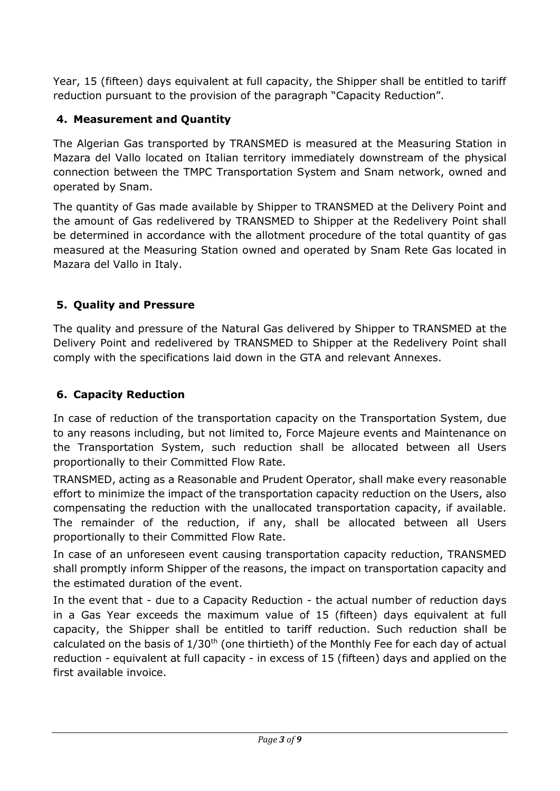Year, 15 (fifteen) days equivalent at full capacity, the Shipper shall be entitled to tariff reduction pursuant to the provision of the paragraph "Capacity Reduction".

#### **4. Measurement and Quantity**

The Algerian Gas transported by TRANSMED is measured at the Measuring Station in Mazara del Vallo located on Italian territory immediately downstream of the physical connection between the TMPC Transportation System and Snam network, owned and operated by Snam.

The quantity of Gas made available by Shipper to TRANSMED at the Delivery Point and the amount of Gas redelivered by TRANSMED to Shipper at the Redelivery Point shall be determined in accordance with the allotment procedure of the total quantity of gas measured at the Measuring Station owned and operated by Snam Rete Gas located in Mazara del Vallo in Italy.

### **5. Quality and Pressure**

The quality and pressure of the Natural Gas delivered by Shipper to TRANSMED at the Delivery Point and redelivered by TRANSMED to Shipper at the Redelivery Point shall comply with the specifications laid down in the GTA and relevant Annexes.

### **6. Capacity Reduction**

In case of reduction of the transportation capacity on the Transportation System, due to any reasons including, but not limited to, Force Majeure events and Maintenance on the Transportation System, such reduction shall be allocated between all Users proportionally to their Committed Flow Rate.

TRANSMED, acting as a Reasonable and Prudent Operator, shall make every reasonable effort to minimize the impact of the transportation capacity reduction on the Users, also compensating the reduction with the unallocated transportation capacity, if available. The remainder of the reduction, if any, shall be allocated between all Users proportionally to their Committed Flow Rate.

In case of an unforeseen event causing transportation capacity reduction, TRANSMED shall promptly inform Shipper of the reasons, the impact on transportation capacity and the estimated duration of the event.

In the event that - due to a Capacity Reduction - the actual number of reduction days in a Gas Year exceeds the maximum value of 15 (fifteen) days equivalent at full capacity, the Shipper shall be entitled to tariff reduction. Such reduction shall be calculated on the basis of  $1/30<sup>th</sup>$  (one thirtieth) of the Monthly Fee for each day of actual reduction - equivalent at full capacity - in excess of 15 (fifteen) days and applied on the first available invoice.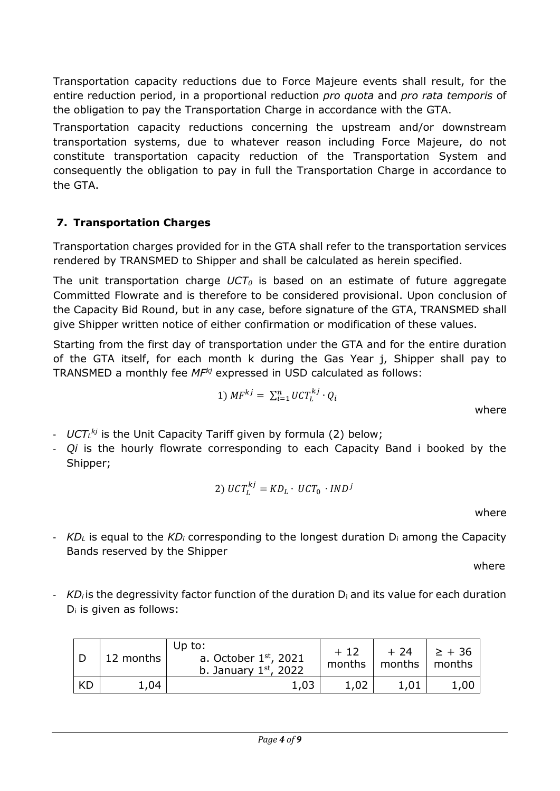Transportation capacity reductions due to Force Majeure events shall result, for the entire reduction period, in a proportional reduction *pro quota* and *pro rata temporis* of the obligation to pay the Transportation Charge in accordance with the GTA.

Transportation capacity reductions concerning the upstream and/or downstream transportation systems, due to whatever reason including Force Majeure, do not constitute transportation capacity reduction of the Transportation System and consequently the obligation to pay in full the Transportation Charge in accordance to the GTA.

## **7. Transportation Charges**

Transportation charges provided for in the GTA shall refer to the transportation services rendered by TRANSMED to Shipper and shall be calculated as herein specified.

The unit transportation charge *UCT<sup>0</sup>* is based on an estimate of future aggregate Committed Flowrate and is therefore to be considered provisional. Upon conclusion of the Capacity Bid Round, but in any case, before signature of the GTA, TRANSMED shall give Shipper written notice of either confirmation or modification of these values.

Starting from the first day of transportation under the GTA and for the entire duration of the GTA itself, for each month k during the Gas Year j, Shipper shall pay to TRANSMED a monthly fee *MFkj* expressed in USD calculated as follows:

$$
1) \; MF^{kj} = \; \sum_{i=1}^{n} UCT_L^{kj} \cdot Q_i
$$

where

- *UCT<sup>L</sup> kj* is the Unit Capacity Tariff given by formula (2) below;
- *Qi* is the hourly flowrate corresponding to each Capacity Band i booked by the Shipper;

$$
2) \ UCT_L^{kj} = KD_L \cdot UCT_0 \cdot IND^j
$$

where

- *KD<sup>L</sup>* is equal to the *KD<sup>i</sup>* corresponding to the longest duration D<sup>i</sup> among the Capacity Bands reserved by the Shipper

where

- *KD<sub>i</sub>* is the degressivity factor function of the duration D<sub>i</sub> and its value for each duration  $D_i$  is given as follows:

|    | 12 months | Up to:<br>a. October $1st$ , 2021<br>b. January $1st$ , 2022 | $+12$<br>months | $+24$<br>months   months | $  \geq +36$ |
|----|-----------|--------------------------------------------------------------|-----------------|--------------------------|--------------|
| KD | 1,04      | 1,03                                                         | 1,02            | 1,01                     | 1,00         |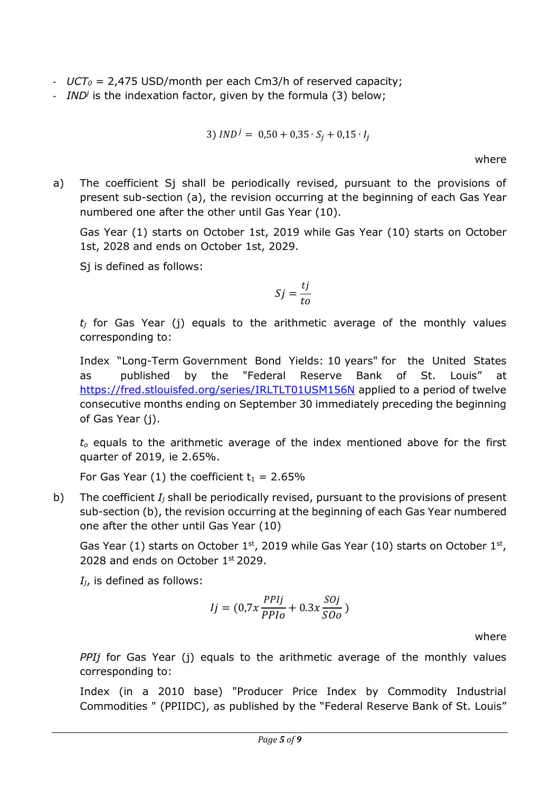- *UCT<sup>0</sup>* = 2,475 USD/month per each Cm3/h of reserved capacity;
- *IND<sup>j</sup>* is the indexation factor, given by the formula (3) below;

$$
3) \, IND^j = 0.50 + 0.35 \cdot S_j + 0.15 \cdot I_j
$$

where

a) The coefficient Sj shall be periodically revised, pursuant to the provisions of present sub-section (a), the revision occurring at the beginning of each Gas Year numbered one after the other until Gas Year (10).

Gas Year (1) starts on October 1st, 2019 while Gas Year (10) starts on October 1st, 2028 and ends on October 1st, 2029.

Sj is defined as follows:

$$
Sj = \frac{tj}{to}
$$

*t<sup>j</sup>* for Gas Year (j) equals to the arithmetic average of the monthly values corresponding to:

Index "Long-Term Government Bond Yields: 10 years" for the United States as published by the "Federal Reserve Bank of St. Louis" at <https://fred.stlouisfed.org/series/IRLTLT01USM156N> applied to a period of twelve consecutive months ending on September 30 immediately preceding the beginning of Gas Year (j).

*t<sup>o</sup>* equals to the arithmetic average of the index mentioned above for the first quarter of 2019, ie 2.65%.

For Gas Year (1) the coefficient  $t_1 = 2.65\%$ 

b) The coefficient *I<sup>j</sup>* shall be periodically revised, pursuant to the provisions of present sub-section (b), the revision occurring at the beginning of each Gas Year numbered one after the other until Gas Year (10)

Gas Year (1) starts on October  $1<sup>st</sup>$ , 2019 while Gas Year (10) starts on October  $1<sup>st</sup>$ , 2028 and ends on October  $1<sup>st</sup>$  2029.

*Ij*, is defined as follows:

$$
Ij = (0.7x \frac{PPIj}{PPIo} + 0.3x \frac{SOj}{SOo})
$$

where

*PPIj* for Gas Year (j) equals to the arithmetic average of the monthly values corresponding to:

Index (in a 2010 base) "Producer Price Index by Commodity Industrial Commodities " (PPIIDC), as published by the "Federal Reserve Bank of St. Louis"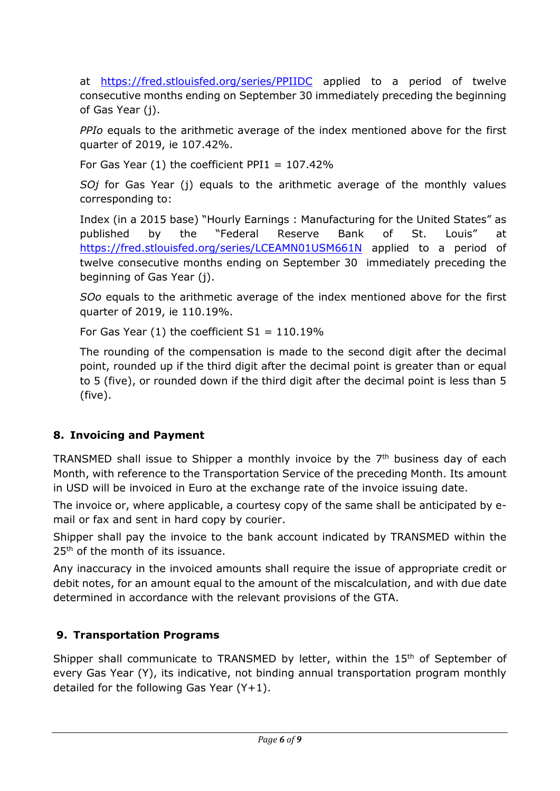at <https://fred.stlouisfed.org/series/PPIIDC> applied to a period of twelve consecutive months ending on September 30 immediately preceding the beginning of Gas Year (j).

*PPIo* equals to the arithmetic average of the index mentioned above for the first quarter of 2019, ie 107.42%.

For Gas Year  $(1)$  the coefficient PPI1 = 107.42%

*SOj* for Gas Year (j) equals to the arithmetic average of the monthly values corresponding to:

Index (in a 2015 base) "Hourly Earnings : Manufacturing for the United States" as published by the "Federal Reserve Bank of St. Louis" at <https://fred.stlouisfed.org/series/LCEAMN01USM661N> applied to a period of twelve consecutive months ending on September 30 immediately preceding the beginning of Gas Year (j).

*SOo* equals to the arithmetic average of the index mentioned above for the first quarter of 2019, ie 110.19%.

For Gas Year  $(1)$  the coefficient  $S1 = 110.19\%$ 

The rounding of the compensation is made to the second digit after the decimal point, rounded up if the third digit after the decimal point is greater than or equal to 5 (five), or rounded down if the third digit after the decimal point is less than 5 (five).

# **8. Invoicing and Payment**

TRANSMED shall issue to Shipper a monthly invoice by the  $7<sup>th</sup>$  business day of each Month, with reference to the Transportation Service of the preceding Month. Its amount in USD will be invoiced in Euro at the exchange rate of the invoice issuing date.

The invoice or, where applicable, a courtesy copy of the same shall be anticipated by email or fax and sent in hard copy by courier.

Shipper shall pay the invoice to the bank account indicated by TRANSMED within the 25<sup>th</sup> of the month of its issuance.

Any inaccuracy in the invoiced amounts shall require the issue of appropriate credit or debit notes, for an amount equal to the amount of the miscalculation, and with due date determined in accordance with the relevant provisions of the GTA.

# **9. Transportation Programs**

Shipper shall communicate to TRANSMED by letter, within the 15<sup>th</sup> of September of every Gas Year (Y), its indicative, not binding annual transportation program monthly detailed for the following Gas Year  $(Y+1)$ .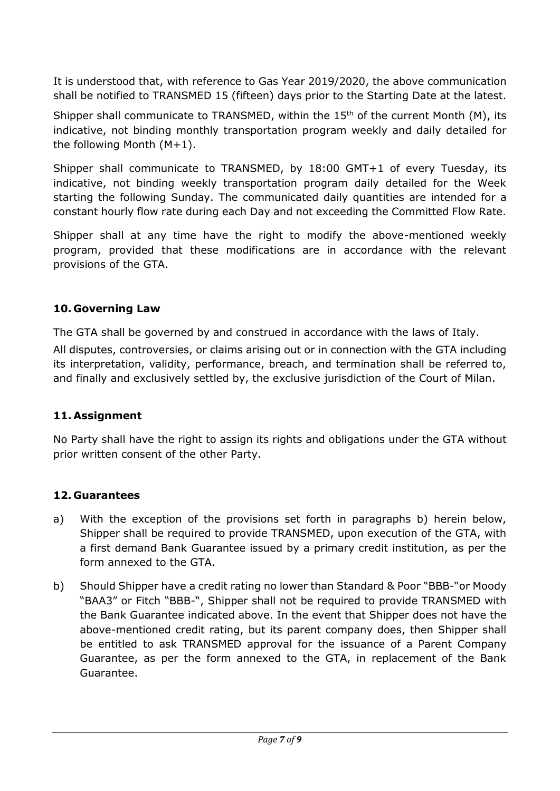It is understood that, with reference to Gas Year 2019/2020, the above communication shall be notified to TRANSMED 15 (fifteen) days prior to the Starting Date at the latest.

Shipper shall communicate to TRANSMED, within the  $15<sup>th</sup>$  of the current Month (M), its indicative, not binding monthly transportation program weekly and daily detailed for the following Month (M+1).

Shipper shall communicate to TRANSMED, by 18:00 GMT+1 of every Tuesday, its indicative, not binding weekly transportation program daily detailed for the Week starting the following Sunday. The communicated daily quantities are intended for a constant hourly flow rate during each Day and not exceeding the Committed Flow Rate.

Shipper shall at any time have the right to modify the above-mentioned weekly program, provided that these modifications are in accordance with the relevant provisions of the GTA.

#### **10. Governing Law**

The GTA shall be governed by and construed in accordance with the laws of Italy. All disputes, controversies, or claims arising out or in connection with the GTA including its interpretation, validity, performance, breach, and termination shall be referred to, and finally and exclusively settled by, the exclusive jurisdiction of the Court of Milan.

#### **11. Assignment**

No Party shall have the right to assign its rights and obligations under the GTA without prior written consent of the other Party.

#### **12. Guarantees**

- a) With the exception of the provisions set forth in paragraphs b) herein below, Shipper shall be required to provide TRANSMED, upon execution of the GTA, with a first demand Bank Guarantee issued by a primary credit institution, as per the form annexed to the GTA.
- b) Should Shipper have a credit rating no lower than Standard & Poor "BBB-"or Moody "BAA3" or Fitch "BBB-", Shipper shall not be required to provide TRANSMED with the Bank Guarantee indicated above. In the event that Shipper does not have the above-mentioned credit rating, but its parent company does, then Shipper shall be entitled to ask TRANSMED approval for the issuance of a Parent Company Guarantee, as per the form annexed to the GTA, in replacement of the Bank Guarantee.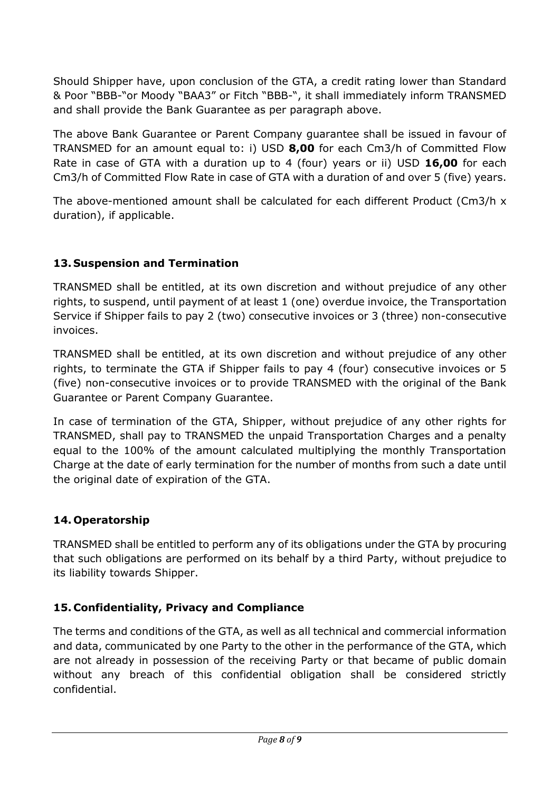Should Shipper have, upon conclusion of the GTA, a credit rating lower than Standard & Poor "BBB-"or Moody "BAA3" or Fitch "BBB-", it shall immediately inform TRANSMED and shall provide the Bank Guarantee as per paragraph above.

The above Bank Guarantee or Parent Company guarantee shall be issued in favour of TRANSMED for an amount equal to: i) USD **8,00** for each Cm3/h of Committed Flow Rate in case of GTA with a duration up to 4 (four) years or ii) USD **16,00** for each Cm3/h of Committed Flow Rate in case of GTA with a duration of and over 5 (five) years.

The above-mentioned amount shall be calculated for each different Product (Cm3/h x duration), if applicable.

### **13. Suspension and Termination**

TRANSMED shall be entitled, at its own discretion and without prejudice of any other rights, to suspend, until payment of at least 1 (one) overdue invoice, the Transportation Service if Shipper fails to pay 2 (two) consecutive invoices or 3 (three) non-consecutive invoices.

TRANSMED shall be entitled, at its own discretion and without prejudice of any other rights, to terminate the GTA if Shipper fails to pay 4 (four) consecutive invoices or 5 (five) non-consecutive invoices or to provide TRANSMED with the original of the Bank Guarantee or Parent Company Guarantee.

In case of termination of the GTA, Shipper, without prejudice of any other rights for TRANSMED, shall pay to TRANSMED the unpaid Transportation Charges and a penalty equal to the 100% of the amount calculated multiplying the monthly Transportation Charge at the date of early termination for the number of months from such a date until the original date of expiration of the GTA.

## **14. Operatorship**

TRANSMED shall be entitled to perform any of its obligations under the GTA by procuring that such obligations are performed on its behalf by a third Party, without prejudice to its liability towards Shipper.

## **15. Confidentiality, Privacy and Compliance**

The terms and conditions of the GTA, as well as all technical and commercial information and data, communicated by one Party to the other in the performance of the GTA, which are not already in possession of the receiving Party or that became of public domain without any breach of this confidential obligation shall be considered strictly confidential.